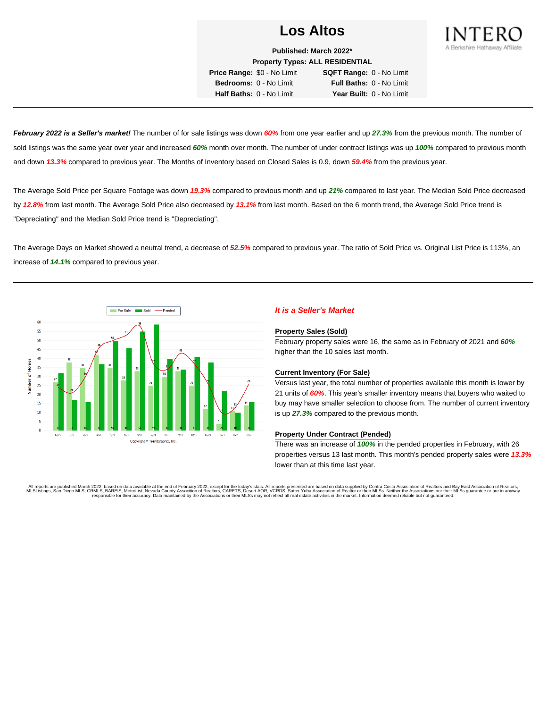

**Published: March 2022\* Property Types: ALL RESIDENTIAL Price Range:** \$0 - No Limit **SQFT Range:** 0 - No Limit **Bedrooms:** 0 - No Limit **Full Baths:** 0 - No Limit

**Half Baths:** 0 - No Limit **Year Built:** 0 - No Limit

**February 2022 is a Seller's market!** The number of for sale listings was down **60%** from one year earlier and up **27.3%** from the previous month. The number of sold listings was the same year over year and increased **60%** month over month. The number of under contract listings was up **100%** compared to previous month and down **13.3%** compared to previous year. The Months of Inventory based on Closed Sales is 0.9, down **59.4%** from the previous year.

The Average Sold Price per Square Footage was down **19.3%** compared to previous month and up **21%** compared to last year. The Median Sold Price decreased by **12.8%** from last month. The Average Sold Price also decreased by **13.1%** from last month. Based on the 6 month trend, the Average Sold Price trend is "Depreciating" and the Median Sold Price trend is "Depreciating".

The Average Days on Market showed a neutral trend, a decrease of **52.5%** compared to previous year. The ratio of Sold Price vs. Original List Price is 113%, an increase of **14.1%** compared to previous year.



## **It is a Seller's Market**

#### **Property Sales (Sold)**

February property sales were 16, the same as in February of 2021 and **60%** higher than the 10 sales last month.

### **Current Inventory (For Sale)**

Versus last year, the total number of properties available this month is lower by 21 units of **60%**. This year's smaller inventory means that buyers who waited to buy may have smaller selection to choose from. The number of current inventory is up **27.3%** compared to the previous month.

### **Property Under Contract (Pended)**

There was an increase of **100%** in the pended properties in February, with 26 properties versus 13 last month. This month's pended property sales were **13.3%** lower than at this time last year.

All reports are published March 2022, based on data available at the end of February 2022, except for the today's stats. All reports presented are based on data supplied by Contra Costa Association of Realtors and Bay East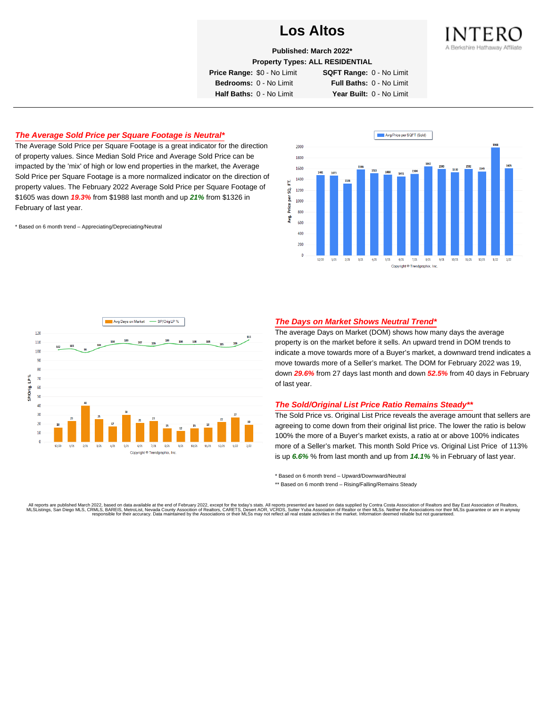

**Published: March 2022\***

**Property Types: ALL RESIDENTIAL**

**Price Range:** \$0 - No Limit **SQFT Range:** 0 - No Limit

**Bedrooms:** 0 - No Limit **Full Baths:** 0 - No Limit **Half Baths:** 0 - No Limit **Year Built:** 0 - No Limit

## **The Average Sold Price per Square Footage is Neutral\***

The Average Sold Price per Square Footage is a great indicator for the direction of property values. Since Median Sold Price and Average Sold Price can be impacted by the 'mix' of high or low end properties in the market, the Average Sold Price per Square Footage is a more normalized indicator on the direction of property values. The February 2022 Average Sold Price per Square Footage of \$1605 was down **19.3%** from \$1988 last month and up **21%** from \$1326 in February of last year.

\* Based on 6 month trend – Appreciating/Depreciating/Neutral





### **The Days on Market Shows Neutral Trend\***

The average Days on Market (DOM) shows how many days the average property is on the market before it sells. An upward trend in DOM trends to indicate a move towards more of a Buyer's market, a downward trend indicates a move towards more of a Seller's market. The DOM for February 2022 was 19, down **29.6%** from 27 days last month and down **52.5%** from 40 days in February of last year.

#### **The Sold/Original List Price Ratio Remains Steady\*\***

The Sold Price vs. Original List Price reveals the average amount that sellers are agreeing to come down from their original list price. The lower the ratio is below 100% the more of a Buyer's market exists, a ratio at or above 100% indicates more of a Seller's market. This month Sold Price vs. Original List Price of 113% is up **6.6%** % from last month and up from **14.1%** % in February of last year.

\* Based on 6 month trend – Upward/Downward/Neutral

\*\* Based on 6 month trend - Rising/Falling/Remains Steady

All reports are published March 2022, based on data available at the end of February 2022, except for the today's stats. All reports presented are based on data supplied by Contra Costa Association of Realtors and Bay East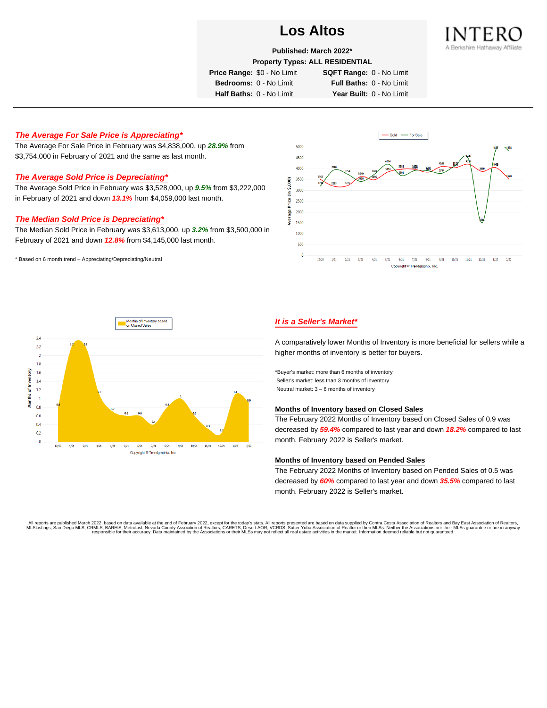

**Published: March 2022\***

**Property Types: ALL RESIDENTIAL**

**Price Range:** \$0 - No Limit **SQFT Range:** 0 - No Limit

**Bedrooms:** 0 - No Limit **Full Baths:** 0 - No Limit **Half Baths:** 0 - No Limit **Year Built:** 0 - No Limit

## **The Average For Sale Price is Appreciating\***

The Average For Sale Price in February was \$4,838,000, up **28.9%** from \$3,754,000 in February of 2021 and the same as last month.

## **The Average Sold Price is Depreciating\***

The Average Sold Price in February was \$3,528,000, up **9.5%** from \$3,222,000 in February of 2021 and down **13.1%** from \$4,059,000 last month.

#### **The Median Sold Price is Depreciating\***

The Median Sold Price in February was \$3,613,000, up **3.2%** from \$3,500,000 in February of 2021 and down **12.8%** from \$4,145,000 last month.

\* Based on 6 month trend – Appreciating/Depreciating/Neutral





## **It is a Seller's Market\***

A comparatively lower Months of Inventory is more beneficial for sellers while a higher months of inventory is better for buyers.

\*Buyer's market: more than 6 months of inventory Seller's market: less than 3 months of inventory Neutral market: 3 – 6 months of inventory

#### **Months of Inventory based on Closed Sales**

The February 2022 Months of Inventory based on Closed Sales of 0.9 was decreased by **59.4%** compared to last year and down **18.2%** compared to last month. February 2022 is Seller's market.

#### **Months of Inventory based on Pended Sales**

The February 2022 Months of Inventory based on Pended Sales of 0.5 was decreased by **60%** compared to last year and down **35.5%** compared to last month. February 2022 is Seller's market.

. All reports are published March 2022, based on data available at the end of February 2022, except for the today's stats. All reports presented are based on data supplied by Contra Costa Association of Realtors, San Bread responsible for their accuracy. Data maintained by the Associations or their MLSs may not reflect all real estate activities in the market. Information deemed reliable but not quaranteed